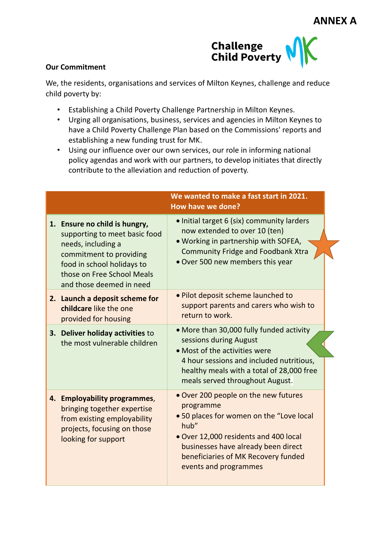

## **Our Commitment**

We, the residents, organisations and services of Milton Keynes, challenge and reduce child poverty by:

- Establishing a Child Poverty Challenge Partnership in Milton Keynes.
- Urging all organisations, business, services and agencies in Milton Keynes to have a Child Poverty Challenge Plan based on the Commissions' reports and establishing a new funding trust for MK.
- Using our influence over our own services, our role in informing national policy agendas and work with our partners, to develop initiates that directly contribute to the alleviation and reduction of poverty.

|                                                                                                                                                                                                         | We wanted to make a fast start in 2021.<br>How have we done?                                                                                                                                                                                         |
|---------------------------------------------------------------------------------------------------------------------------------------------------------------------------------------------------------|------------------------------------------------------------------------------------------------------------------------------------------------------------------------------------------------------------------------------------------------------|
| 1. Ensure no child is hungry,<br>supporting to meet basic food<br>needs, including a<br>commitment to providing<br>food in school holidays to<br>those on Free School Meals<br>and those deemed in need | · Initial target 6 (six) community larders<br>now extended to over 10 (ten)<br>. Working in partnership with SOFEA,<br><b>Community Fridge and Foodbank Xtra</b><br>• Over 500 new members this year                                                 |
| 2. Launch a deposit scheme for<br>childcare like the one<br>provided for housing                                                                                                                        | . Pilot deposit scheme launched to<br>support parents and carers who wish to<br>return to work.                                                                                                                                                      |
| 3. Deliver holiday activities to<br>the most vulnerable children                                                                                                                                        | • More than 30,000 fully funded activity<br>sessions during August<br>• Most of the activities were<br>4 hour sessions and included nutritious,<br>healthy meals with a total of 28,000 free<br>meals served throughout August.                      |
| 4. Employability programmes,<br>bringing together expertise<br>from existing employability<br>projects, focusing on those<br>looking for support                                                        | • Over 200 people on the new futures<br>programme<br>.50 places for women on the "Love local<br>hub"<br>. Over 12,000 residents and 400 local<br>businesses have already been direct<br>beneficiaries of MK Recovery funded<br>events and programmes |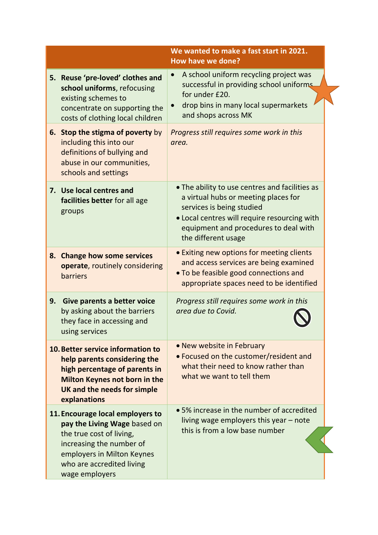|    |                                                                                                                                                                                                       | We wanted to make a fast start in 2021.<br><b>How have we done?</b>                                                                                                                                                                 |
|----|-------------------------------------------------------------------------------------------------------------------------------------------------------------------------------------------------------|-------------------------------------------------------------------------------------------------------------------------------------------------------------------------------------------------------------------------------------|
|    | 5. Reuse 'pre-loved' clothes and<br>school uniforms, refocusing<br>existing schemes to<br>concentrate on supporting the<br>costs of clothing local children                                           | A school uniform recycling project was<br>successful in providing school uniforms<br>for under £20.<br>drop bins in many local supermarkets<br>and shops across MK                                                                  |
|    | 6. Stop the stigma of poverty by<br>including this into our<br>definitions of bullying and<br>abuse in our communities,<br>schools and settings                                                       | Progress still requires some work in this<br>area.                                                                                                                                                                                  |
|    | 7. Use local centres and<br>facilities better for all age<br>groups                                                                                                                                   | • The ability to use centres and facilities as<br>a virtual hubs or meeting places for<br>services is being studied<br>• Local centres will require resourcing with<br>equipment and procedures to deal with<br>the different usage |
|    | 8. Change how some services<br>operate, routinely considering<br>barriers                                                                                                                             | • Exiting new options for meeting clients<br>and access services are being examined<br>• To be feasible good connections and<br>appropriate spaces need to be identified                                                            |
| 9. | Give parents a better voice<br>by asking about the barriers<br>they face in accessing and<br>using services                                                                                           | Progress still requires some work in this<br>area due to Covid.                                                                                                                                                                     |
|    | 10. Better service information to<br>help parents considering the<br>high percentage of parents in<br>Milton Keynes not born in the<br>UK and the needs for simple<br>explanations                    | • New website in February<br>• Focused on the customer/resident and<br>what their need to know rather than<br>what we want to tell them                                                                                             |
|    | 11. Encourage local employers to<br>pay the Living Wage based on<br>the true cost of living,<br>increasing the number of<br>employers in Milton Keynes<br>who are accredited living<br>wage employers | • 5% increase in the number of accredited<br>living wage employers this year - note<br>this is from a low base number                                                                                                               |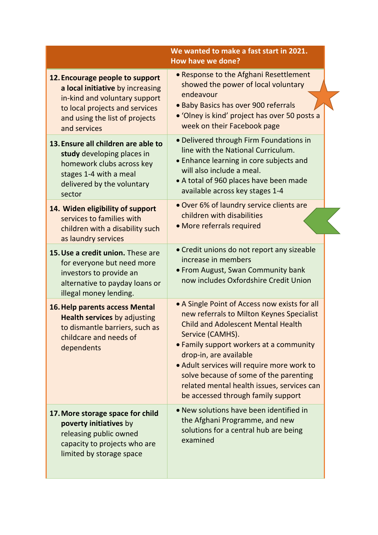|                                                                                                                                                                                          | We wanted to make a fast start in 2021.<br>How have we done?                                                                                                                                                                                                                                                                                                                                                 |
|------------------------------------------------------------------------------------------------------------------------------------------------------------------------------------------|--------------------------------------------------------------------------------------------------------------------------------------------------------------------------------------------------------------------------------------------------------------------------------------------------------------------------------------------------------------------------------------------------------------|
| 12. Encourage people to support<br>a local initiative by increasing<br>in-kind and voluntary support<br>to local projects and services<br>and using the list of projects<br>and services | . Response to the Afghani Resettlement<br>showed the power of local voluntary<br>endeavour<br>. Baby Basics has over 900 referrals<br>• 'Olney is kind' project has over 50 posts a<br>week on their Facebook page                                                                                                                                                                                           |
| 13. Ensure all children are able to<br>study developing places in<br>homework clubs across key<br>stages 1-4 with a meal<br>delivered by the voluntary<br>sector                         | · Delivered through Firm Foundations in<br>line with the National Curriculum.<br>• Enhance learning in core subjects and<br>will also include a meal.<br>• A total of 960 places have been made<br>available across key stages 1-4                                                                                                                                                                           |
| 14. Widen eligibility of support<br>services to families with<br>children with a disability such<br>as laundry services                                                                  | • Over 6% of laundry service clients are<br>children with disabilities<br>• More referrals required                                                                                                                                                                                                                                                                                                          |
| 15. Use a credit union. These are<br>for everyone but need more<br>investors to provide an<br>alternative to payday loans or<br>illegal money lending.                                   | • Credit unions do not report any sizeable<br>increase in members<br>• From August, Swan Community bank<br>now includes Oxfordshire Credit Union                                                                                                                                                                                                                                                             |
| 16. Help parents access Mental<br><b>Health services by adjusting</b><br>to dismantle barriers, such as<br>childcare and needs of<br>dependents                                          | • A Single Point of Access now exists for all<br>new referrals to Milton Keynes Specialist<br><b>Child and Adolescent Mental Health</b><br>Service (CAMHS).<br>• Family support workers at a community<br>drop-in, are available<br>. Adult services will require more work to<br>solve because of some of the parenting<br>related mental health issues, services can<br>be accessed through family support |
| 17. More storage space for child<br>poverty initiatives by<br>releasing public owned<br>capacity to projects who are<br>limited by storage space                                         | • New solutions have been identified in<br>the Afghani Programme, and new<br>solutions for a central hub are being<br>examined                                                                                                                                                                                                                                                                               |